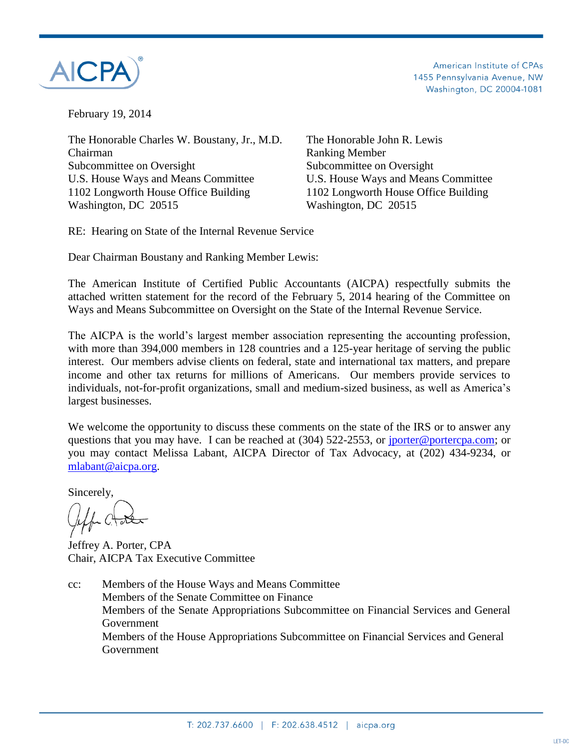

American Institute of CPAs 1455 Pennsylvania Avenue, NW Washington, DC 20004-1081

February 19, 2014

The Honorable Charles W. Boustany, Jr., M.D. The Honorable John R. Lewis Chairman Ranking Member Subcommittee on Oversight Subcommittee on Oversight U.S. House Ways and Means Committee U.S. House Ways and Means Committee 1102 Longworth House Office Building 1102 Longworth House Office Building Washington, DC 20515 Washington, DC 20515

RE: Hearing on State of the Internal Revenue Service

Dear Chairman Boustany and Ranking Member Lewis:

The American Institute of Certified Public Accountants (AICPA) respectfully submits the attached written statement for the record of the February 5, 2014 hearing of the Committee on Ways and Means Subcommittee on Oversight on the State of the Internal Revenue Service.

The AICPA is the world's largest member association representing the accounting profession, with more than 394,000 members in 128 countries and a 125-year heritage of serving the public interest. Our members advise clients on federal, state and international tax matters, and prepare income and other tax returns for millions of Americans. Our members provide services to individuals, not-for-profit organizations, small and medium-sized business, as well as America's largest businesses.

We welcome the opportunity to discuss these comments on the state of the IRS or to answer any questions that you may have. I can be reached at (304) 522-2553, or [jporter@portercpa.com;](mailto:jporter@portercpa.com) or you may contact Melissa Labant, AICPA Director of Tax Advocacy, at (202) 434-9234, or [mlabant@aicpa.org.](mailto:esherr@aicpa.org)

Sincerely,

Jeffrey A. Porter, CPA Chair, AICPA Tax Executive Committee

cc: Members of the House Ways and Means Committee Members of the Senate Committee on Finance Members of the Senate Appropriations Subcommittee on Financial Services and General Government Members of the House Appropriations Subcommittee on Financial Services and General Government